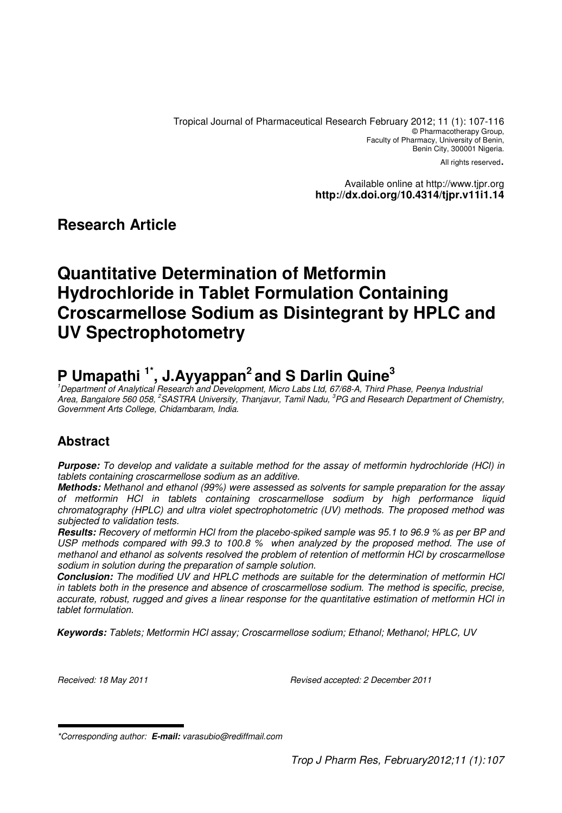Tropical Journal of Pharmaceutical Research February 2012; 11 (1): 107-116 © Pharmacotherapy Group, Faculty of Pharmacy, University of Benin, Benin City, 300001 Nigeria.

All rights reserved.

Available online at http://www.tjpr.org **http://dx.doi.org/10.4314/tjpr.v11i1.14**

## **Research Article**

# **Quantitative Determination of Metformin Hydrochloride in Tablet Formulation Containing Croscarmellose Sodium as Disintegrant by HPLC and UV Spectrophotometry**

# **P Umapathi 1\*, J.Ayyappan<sup>2</sup>and S Darlin Quine<sup>3</sup>**

<sup>1</sup>Department of Analytical Research and Development, Micro Labs Ltd, 67/68-A, Third Phase, Peenya Industrial Area, Bangalore 560 058, <sup>2</sup>SASTRA University, Thanjavur, Tamil Nadu, <sup>3</sup>PG and Research Department of Chemistry, Government Arts College, Chidambaram, India.

# **Abstract**

**Purpose:** To develop and validate a suitable method for the assay of metformin hydrochloride (HCl) in tablets containing croscarmellose sodium as an additive.

**Methods:** Methanol and ethanol (99%) were assessed as solvents for sample preparation for the assay of metformin HCl in tablets containing croscarmellose sodium by high performance liquid chromatography (HPLC) and ultra violet spectrophotometric (UV) methods. The proposed method was subjected to validation tests.

**Results:** Recovery of metformin HCl from the placebo-spiked sample was 95.1 to 96.9 % as per BP and USP methods compared with 99.3 to 100.8 % when analyzed by the proposed method. The use of methanol and ethanol as solvents resolved the problem of retention of metformin HCl by croscarmellose sodium in solution during the preparation of sample solution.

**Conclusion:** The modified UV and HPLC methods are suitable for the determination of metformin HCl in tablets both in the presence and absence of croscarmellose sodium. The method is specific, precise, accurate, robust, rugged and gives a linear response for the quantitative estimation of metformin HCl in tablet formulation.

**Keywords:** Tablets; Metformin HCl assay; Croscarmellose sodium; Ethanol; Methanol; HPLC, UV

Received: 18 May 2011 Revised accepted: 2 December 2011

<sup>\*</sup>Corresponding author: **E-mail:** varasubio@rediffmail.com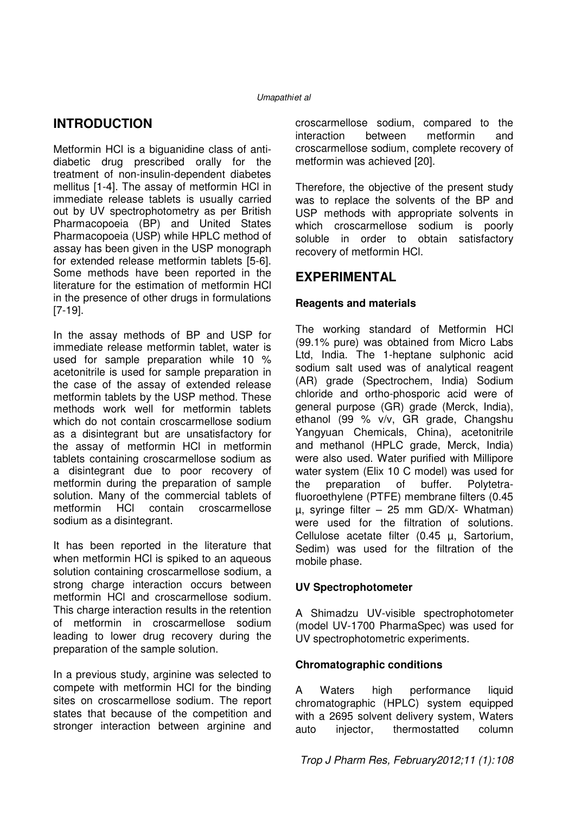# **INTRODUCTION**

Metformin HCl is a biguanidine class of antidiabetic drug prescribed orally for the treatment of non-insulin-dependent diabetes mellitus [1-4]. The assay of metformin HCl in immediate release tablets is usually carried out by UV spectrophotometry as per British Pharmacopoeia (BP) and United States Pharmacopoeia (USP) while HPLC method of assay has been given in the USP monograph for extended release metformin tablets [5-6]. Some methods have been reported in the literature for the estimation of metformin HCl in the presence of other drugs in formulations [7-19].

In the assay methods of BP and USP for immediate release metformin tablet, water is used for sample preparation while 10 % acetonitrile is used for sample preparation in the case of the assay of extended release metformin tablets by the USP method. These methods work well for metformin tablets which do not contain croscarmellose sodium as a disintegrant but are unsatisfactory for the assay of metformin HCl in metformin tablets containing croscarmellose sodium as a disintegrant due to poor recovery of metformin during the preparation of sample solution. Many of the commercial tablets of metformin HCl contain croscarmellose sodium as a disintegrant.

It has been reported in the literature that when metformin HCl is spiked to an aqueous solution containing croscarmellose sodium, a strong charge interaction occurs between metformin HCl and croscarmellose sodium. This charge interaction results in the retention of metformin in croscarmellose sodium leading to lower drug recovery during the preparation of the sample solution.

In a previous study, arginine was selected to compete with metformin HCl for the binding sites on croscarmellose sodium. The report states that because of the competition and stronger interaction between arginine and croscarmellose sodium, compared to the interaction between metformin and croscarmellose sodium, complete recovery of metformin was achieved [20].

Therefore, the objective of the present study was to replace the solvents of the BP and USP methods with appropriate solvents in which croscarmellose sodium is poorly soluble in order to obtain satisfactory recovery of metformin HCl.

### **EXPERIMENTAL**

### **Reagents and materials**

The working standard of Metformin HCl (99.1% pure) was obtained from Micro Labs Ltd, India. The 1-heptane sulphonic acid sodium salt used was of analytical reagent (AR) grade (Spectrochem, India) Sodium chloride and ortho-phosporic acid were of general purpose (GR) grade (Merck, India), ethanol (99 % v/v, GR grade, Changshu Yangyuan Chemicals, China), acetonitrile and methanol (HPLC grade, Merck, India) were also used. Water purified with Millipore water system (Elix 10 C model) was used for the preparation of buffer. Polytetrafluoroethylene (PTFE) membrane filters (0.45 µ, syringe filter – 25 mm GD/X- Whatman) were used for the filtration of solutions. Cellulose acetate filter (0.45 µ, Sartorium, Sedim) was used for the filtration of the mobile phase.

### **UV Spectrophotometer**

A Shimadzu UV-visible spectrophotometer (model UV-1700 PharmaSpec) was used for UV spectrophotometric experiments.

### **Chromatographic conditions**

A Waters high performance liquid chromatographic (HPLC) system equipped with a 2695 solvent delivery system, Waters auto injector, thermostatted column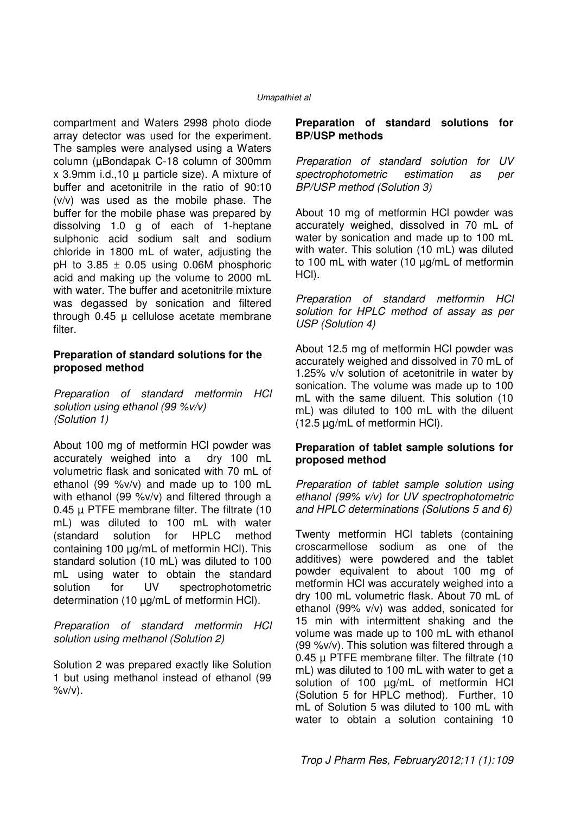compartment and Waters 2998 photo diode array detector was used for the experiment. The samples were analysed using a Waters column (µBondapak C-18 column of 300mm x 3.9mm i.d.,10 µ particle size). A mixture of buffer and acetonitrile in the ratio of 90:10 (v/v) was used as the mobile phase. The buffer for the mobile phase was prepared by dissolving 1.0 g of each of 1-heptane sulphonic acid sodium salt and sodium chloride in 1800 mL of water, adjusting the pH to  $3.85 \pm 0.05$  using 0.06M phosphoric acid and making up the volume to 2000 mL with water. The buffer and acetonitrile mixture was degassed by sonication and filtered through  $0.45$   $\mu$  cellulose acetate membrane filter.

#### **Preparation of standard solutions for the proposed method**

Preparation of standard metformin HCl solution using ethanol (99 %v/v) (Solution 1)

About 100 mg of metformin HCl powder was accurately weighed into a dry 100 mL volumetric flask and sonicated with 70 mL of ethanol (99 %v/v) and made up to 100 mL with ethanol (99 %v/v) and filtered through a 0.45 µ PTFE membrane filter. The filtrate (10 mL) was diluted to 100 mL with water (standard solution for HPLC method containing 100 µg/mL of metformin HCl). This standard solution (10 mL) was diluted to 100 mL using water to obtain the standard solution for UV spectrophotometric determination (10 µg/mL of metformin HCl).

Preparation of standard metformin HCl solution using methanol (Solution 2)

Solution 2 was prepared exactly like Solution 1 but using methanol instead of ethanol (99  $\frac{\partial}{\partial y}$ 

#### **Preparation of standard solutions for BP/USP methods**

Preparation of standard solution for UV spectrophotometric estimation as per BP/USP method (Solution 3)

About 10 mg of metformin HCl powder was accurately weighed, dissolved in 70 mL of water by sonication and made up to 100 mL with water. This solution (10 mL) was diluted to 100 mL with water (10 µg/mL of metformin HCl).

Preparation of standard metformin HCl solution for HPLC method of assay as per USP (Solution 4)

About 12.5 mg of metformin HCl powder was accurately weighed and dissolved in 70 mL of 1.25% v/v solution of acetonitrile in water by sonication. The volume was made up to 100 mL with the same diluent. This solution (10 mL) was diluted to 100 mL with the diluent (12.5 µg/mL of metformin HCl).

#### **Preparation of tablet sample solutions for proposed method**

Preparation of tablet sample solution using ethanol (99% v/v) for UV spectrophotometric and HPLC determinations (Solutions 5 and 6)

Twenty metformin HCl tablets (containing croscarmellose sodium as one of the additives) were powdered and the tablet powder equivalent to about 100 mg of metformin HCl was accurately weighed into a dry 100 mL volumetric flask. About 70 mL of ethanol (99% v/v) was added, sonicated for 15 min with intermittent shaking and the volume was made up to 100 mL with ethanol (99 %v/v). This solution was filtered through a 0.45 µ PTFE membrane filter. The filtrate (10 mL) was diluted to 100 mL with water to get a solution of 100 µg/mL of metformin HCl (Solution 5 for HPLC method). Further, 10 mL of Solution 5 was diluted to 100 mL with water to obtain a solution containing 10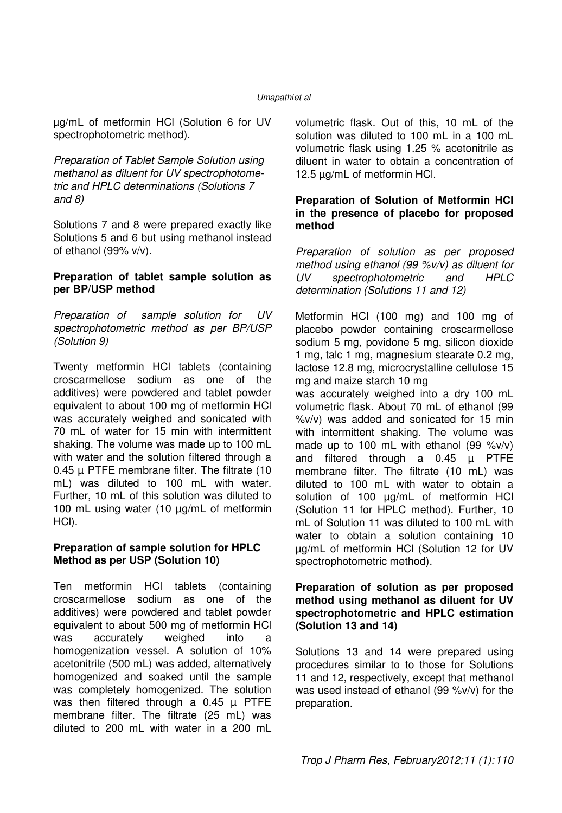µg/mL of metformin HCl (Solution 6 for UV spectrophotometric method).

Preparation of Tablet Sample Solution using methanol as diluent for UV spectrophotometric and HPLC determinations (Solutions 7 and 8)

Solutions 7 and 8 were prepared exactly like Solutions 5 and 6 but using methanol instead of ethanol (99% v/v).

#### **Preparation of tablet sample solution as per BP/USP method**

Preparation of sample solution for UV spectrophotometric method as per BP/USP (Solution 9)

Twenty metformin HCl tablets (containing croscarmellose sodium as one of the additives) were powdered and tablet powder equivalent to about 100 mg of metformin HCl was accurately weighed and sonicated with 70 mL of water for 15 min with intermittent shaking. The volume was made up to 100 mL with water and the solution filtered through a 0.45 µ PTFE membrane filter. The filtrate (10 mL) was diluted to 100 mL with water. Further, 10 mL of this solution was diluted to 100 mL using water (10 µg/mL of metformin HCl).

#### **Preparation of sample solution for HPLC Method as per USP (Solution 10)**

Ten metformin HCl tablets (containing croscarmellose sodium as one of the additives) were powdered and tablet powder equivalent to about 500 mg of metformin HCl was accurately weighed into a homogenization vessel. A solution of 10% acetonitrile (500 mL) was added, alternatively homogenized and soaked until the sample was completely homogenized. The solution was then filtered through a  $0.45 \mu$  PTFE membrane filter. The filtrate (25 mL) was diluted to 200 mL with water in a 200 mL

volumetric flask. Out of this, 10 mL of the solution was diluted to 100 mL in a 100 mL volumetric flask using 1.25 % acetonitrile as diluent in water to obtain a concentration of 12.5 µg/mL of metformin HCl.

#### **Preparation of Solution of Metformin HCl in the presence of placebo for proposed method**

Preparation of solution as per proposed method using ethanol (99 %v/v) as diluent for UV spectrophotometric and HPLC determination (Solutions 11 and 12)

Metformin HCl (100 mg) and 100 mg of placebo powder containing croscarmellose sodium 5 mg, povidone 5 mg, silicon dioxide 1 mg, talc 1 mg, magnesium stearate 0.2 mg, lactose 12.8 mg, microcrystalline cellulose 15 mg and maize starch 10 mg was accurately weighed into a dry 100 mL volumetric flask. About 70 mL of ethanol (99 %v/v) was added and sonicated for 15 min with intermittent shaking. The volume was made up to 100 mL with ethanol  $(99 \text{ %}v/v)$ and filtered through a  $0.45$   $\mu$  PTFE membrane filter. The filtrate (10 mL) was diluted to 100 mL with water to obtain a solution of 100 µg/mL of metformin HCl (Solution 11 for HPLC method). Further, 10 mL of Solution 11 was diluted to 100 mL with water to obtain a solution containing 10 µg/mL of metformin HCl (Solution 12 for UV spectrophotometric method).

#### **Preparation of solution as per proposed method using methanol as diluent for UV spectrophotometric and HPLC estimation (Solution 13 and 14)**

Solutions 13 and 14 were prepared using procedures similar to to those for Solutions 11 and 12, respectively, except that methanol was used instead of ethanol (99 %v/v) for the preparation.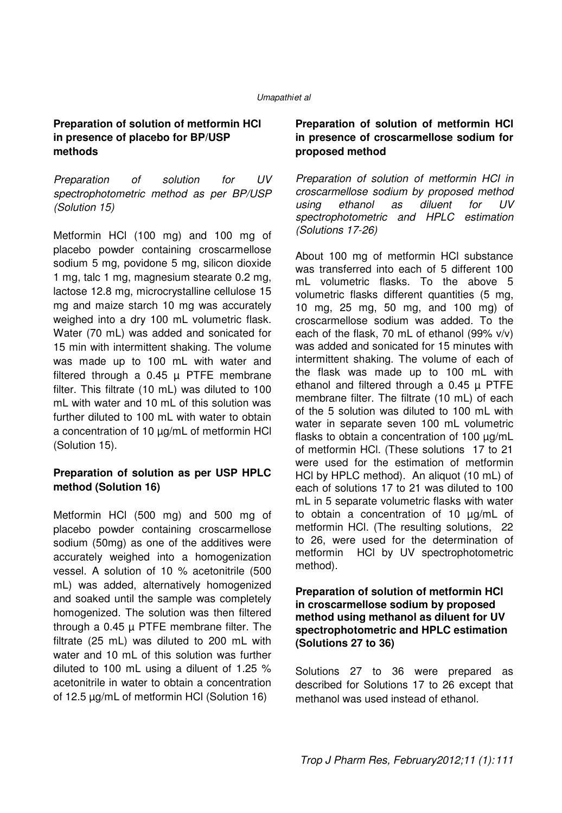### **Preparation of solution of metformin HCl in presence of placebo for BP/USP methods**

Preparation of solution for UV spectrophotometric method as per BP/USP (Solution 15)

Metformin HCl (100 mg) and 100 mg of placebo powder containing croscarmellose sodium 5 mg, povidone 5 mg, silicon dioxide 1 mg, talc 1 mg, magnesium stearate 0.2 mg, lactose 12.8 mg, microcrystalline cellulose 15 mg and maize starch 10 mg was accurately weighed into a dry 100 mL volumetric flask. Water (70 mL) was added and sonicated for 15 min with intermittent shaking. The volume was made up to 100 mL with water and filtered through a  $0.45 \mu$  PTFE membrane filter. This filtrate (10 mL) was diluted to 100 mL with water and 10 mL of this solution was further diluted to 100 mL with water to obtain a concentration of 10  $\mu$ g/mL of metformin HCl (Solution 15).

### **Preparation of solution as per USP HPLC method (Solution 16)**

Metformin HCl (500 mg) and 500 mg of placebo powder containing croscarmellose sodium (50mg) as one of the additives were accurately weighed into a homogenization vessel. A solution of 10 % acetonitrile (500 mL) was added, alternatively homogenized and soaked until the sample was completely homogenized. The solution was then filtered through a 0.45 µ PTFE membrane filter. The filtrate (25 mL) was diluted to 200 mL with water and 10 mL of this solution was further diluted to 100 mL using a diluent of 1.25 % acetonitrile in water to obtain a concentration of 12.5 µg/mL of metformin HCl (Solution 16)

### **Preparation of solution of metformin HCl in presence of croscarmellose sodium for proposed method**

Preparation of solution of metformin HCl in croscarmellose sodium by proposed method<br>using ethanol as diluent for UV ethanol as diluent for UV spectrophotometric and HPLC estimation (Solutions 17-26)

About 100 mg of metformin HCl substance was transferred into each of 5 different 100 mL volumetric flasks. To the above 5 volumetric flasks different quantities (5 mg, 10 mg, 25 mg, 50 mg, and 100 mg) of croscarmellose sodium was added. To the each of the flask, 70 mL of ethanol (99% v/v) was added and sonicated for 15 minutes with intermittent shaking. The volume of each of the flask was made up to 100 mL with ethanol and filtered through a  $0.45 \mu$  PTFE membrane filter. The filtrate (10 mL) of each of the 5 solution was diluted to 100 mL with water in separate seven 100 mL volumetric flasks to obtain a concentration of 100  $\mu$ g/mL of metformin HCl. (These solutions 17 to 21 were used for the estimation of metformin HCl by HPLC method). An aliquot (10 mL) of each of solutions 17 to 21 was diluted to 100 mL in 5 separate volumetric flasks with water to obtain a concentration of 10 µg/mL of metformin HCl. (The resulting solutions, 22 to 26, were used for the determination of metformin HCl by UV spectrophotometric method).

#### **Preparation of solution of metformin HCl in croscarmellose sodium by proposed method using methanol as diluent for UV spectrophotometric and HPLC estimation (Solutions 27 to 36)**

Solutions 27 to 36 were prepared as described for Solutions 17 to 26 except that methanol was used instead of ethanol.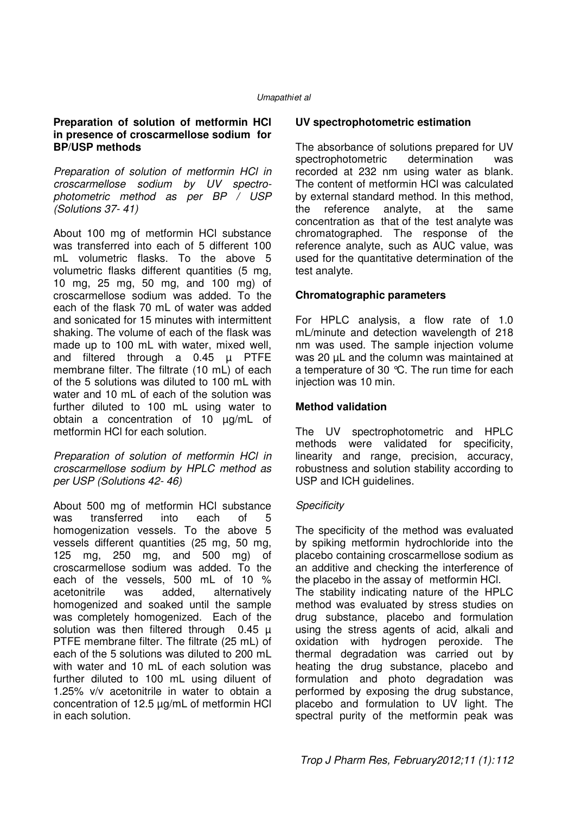#### **Preparation of solution of metformin HCl in presence of croscarmellose sodium for BP/USP methods**

Preparation of solution of metformin HCl in croscarmellose sodium by UV spectrophotometric method as per BP / USP (Solutions 37- 41)

About 100 mg of metformin HCl substance was transferred into each of 5 different 100 mL volumetric flasks. To the above 5 volumetric flasks different quantities (5 mg, 10 mg, 25 mg, 50 mg, and 100 mg) of croscarmellose sodium was added. To the each of the flask 70 mL of water was added and sonicated for 15 minutes with intermittent shaking. The volume of each of the flask was made up to 100 mL with water, mixed well, and filtered through a  $0.45$   $\mu$  PTFE membrane filter. The filtrate (10 mL) of each of the 5 solutions was diluted to 100 mL with water and 10 mL of each of the solution was further diluted to 100 mL using water to obtain a concentration of 10 µg/mL of metformin HCl for each solution.

Preparation of solution of metformin HCl in croscarmellose sodium by HPLC method as per USP (Solutions 42- 46)

About 500 mg of metformin HCl substance was transferred into each of 5 homogenization vessels. To the above 5 vessels different quantities (25 mg, 50 mg, 125 mg, 250 mg, and 500 mg) of croscarmellose sodium was added. To the each of the vessels, 500 mL of 10 % acetonitrile was added, alternatively homogenized and soaked until the sample was completely homogenized. Each of the solution was then filtered through  $0.45 \mu$ PTFE membrane filter. The filtrate (25 mL) of each of the 5 solutions was diluted to 200 mL with water and 10 mL of each solution was further diluted to 100 mL using diluent of 1.25% v/v acetonitrile in water to obtain a concentration of 12.5 µg/mL of metformin HCl in each solution.

#### **UV spectrophotometric estimation**

The absorbance of solutions prepared for UV spectrophotometric determination was recorded at 232 nm using water as blank. The content of metformin HCl was calculated by external standard method. In this method, the reference analyte, at the same concentration as that of the test analyte was chromatographed. The response of the reference analyte, such as AUC value, was used for the quantitative determination of the test analyte.

#### **Chromatographic parameters**

For HPLC analysis, a flow rate of 1.0 mL/minute and detection wavelength of 218 nm was used. The sample injection volume was 20  $\mu$ L and the column was maintained at a temperature of 30 °C. The run time for each injection was 10 min.

#### **Method validation**

The UV spectrophotometric and HPLC methods were validated for specificity, linearity and range, precision, accuracy, robustness and solution stability according to USP and ICH guidelines.

#### **Specificity**

The specificity of the method was evaluated by spiking metformin hydrochloride into the placebo containing croscarmellose sodium as an additive and checking the interference of the placebo in the assay of metformin HCl. The stability indicating nature of the HPLC method was evaluated by stress studies on drug substance, placebo and formulation using the stress agents of acid, alkali and oxidation with hydrogen peroxide. The thermal degradation was carried out by heating the drug substance, placebo and formulation and photo degradation was performed by exposing the drug substance, placebo and formulation to UV light. The spectral purity of the metformin peak was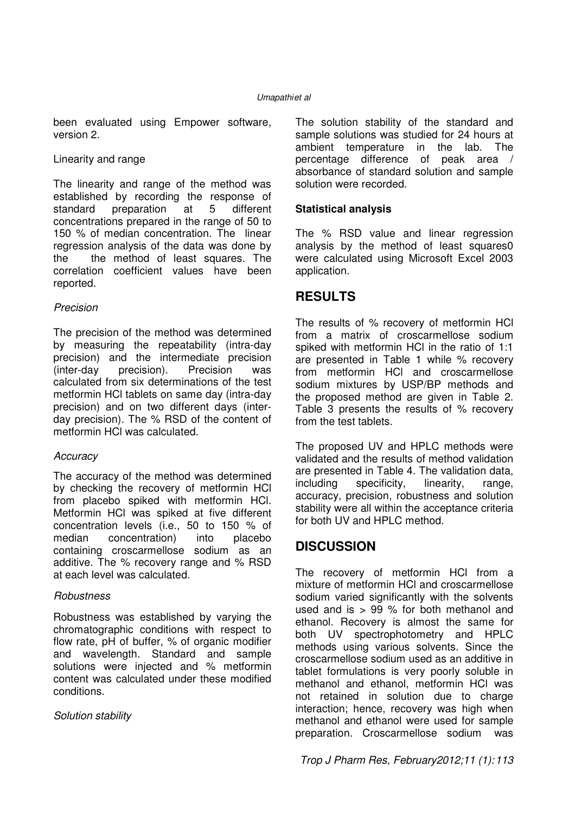been evaluated using Empower software, version 2.

#### Linearity and range

The linearity and range of the method was established by recording the response of standard preparation at 5 different concentrations prepared in the range of 50 to 150 % of median concentration. The linear regression analysis of the data was done by the the method of least squares. The correlation coefficient values have been reported.

#### Precision

The precision of the method was determined by measuring the repeatability (intra-day precision) and the intermediate precision (inter-day precision). Precision was calculated from six determinations of the test metformin HCl tablets on same day (intra-day precision) and on two different days (interday precision). The % RSD of the content of metformin HCl was calculated.

#### **Accuracy**

The accuracy of the method was determined by checking the recovery of metformin HCl from placebo spiked with metformin HCl. Metformin HCl was spiked at five different concentration levels (i.e., 50 to 150 % of median concentration) into placebo containing croscarmellose sodium as an additive. The % recovery range and % RSD at each level was calculated.

#### **Robustness**

Robustness was established by varying the chromatographic conditions with respect to flow rate, pH of buffer, % of organic modifier and wavelength. Standard and sample solutions were injected and % metformin content was calculated under these modified conditions.

#### Solution stability

The solution stability of the standard and sample solutions was studied for 24 hours at ambient temperature in the lab. The percentage difference of peak area / absorbance of standard solution and sample solution were recorded.

#### **Statistical analysis**

The % RSD value and linear regression analysis by the method of least squares0 were calculated using Microsoft Excel 2003 application.

### **RESULTS**

The results of % recovery of metformin HCl from a matrix of croscarmellose sodium spiked with metformin HCl in the ratio of 1:1 are presented in Table 1 while % recovery from metformin HCl and croscarmellose sodium mixtures by USP/BP methods and the proposed method are given in Table 2. Table 3 presents the results of % recovery from the test tablets.

The proposed UV and HPLC methods were validated and the results of method validation are presented in Table 4. The validation data, including specificity, linearity, range, accuracy, precision, robustness and solution stability were all within the acceptance criteria for both UV and HPLC method.

## **DISCUSSION**

The recovery of metformin HCl from a mixture of metformin HCl and croscarmellose sodium varied significantly with the solvents used and is > 99 % for both methanol and ethanol. Recovery is almost the same for both UV spectrophotometry and HPLC methods using various solvents. Since the croscarmellose sodium used as an additive in tablet formulations is very poorly soluble in methanol and ethanol, metformin HCl was not retained in solution due to charge interaction; hence, recovery was high when methanol and ethanol were used for sample preparation. Croscarmellose sodium was

Trop J Pharm Res, February2012;11 (1): 113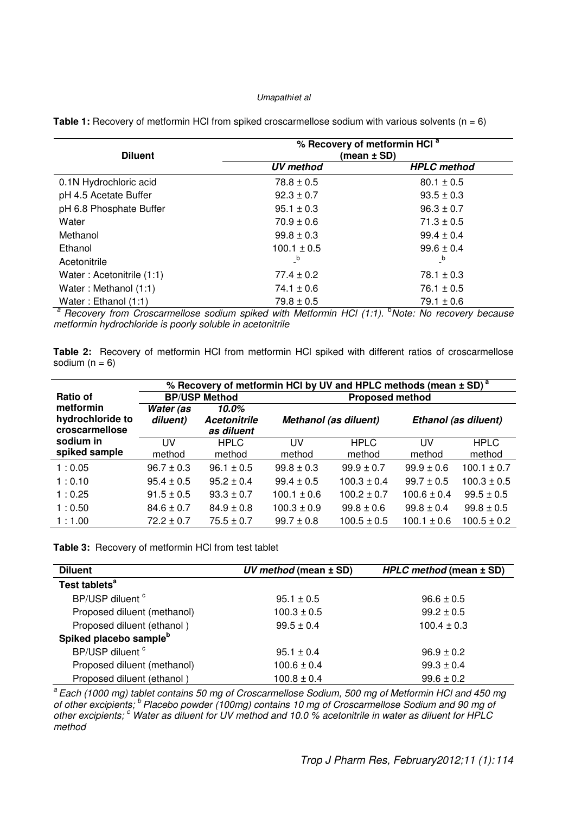| <b>Diluent</b>            | % Recovery of metformin HCI <sup>a</sup><br>(mean $\pm$ SD) |                    |  |  |  |
|---------------------------|-------------------------------------------------------------|--------------------|--|--|--|
|                           | <b>UV</b> method                                            | <b>HPLC</b> method |  |  |  |
| 0.1N Hydrochloric acid    | $78.8 \pm 0.5$                                              | $80.1 \pm 0.5$     |  |  |  |
| pH 4.5 Acetate Buffer     | $92.3 \pm 0.7$                                              | $93.5 \pm 0.3$     |  |  |  |
| pH 6.8 Phosphate Buffer   | $95.1 \pm 0.3$                                              | $96.3 \pm 0.7$     |  |  |  |
| Water                     | $70.9 \pm 0.6$                                              | $71.3 \pm 0.5$     |  |  |  |
| Methanol                  | $99.8 \pm 0.3$                                              | $99.4 \pm 0.4$     |  |  |  |
| Ethanol                   | $100.1 \pm 0.5$                                             | $99.6 \pm 0.4$     |  |  |  |
| Acetonitrile              | $_b$                                                        | $_b$               |  |  |  |
| Water: Acetonitrile (1:1) | $77.4 \pm 0.2$                                              | $78.1 \pm 0.3$     |  |  |  |
| Water: Methanol (1:1)     | $74.1 \pm 0.6$                                              | $76.1 \pm 0.5$     |  |  |  |
| Water: Ethanol (1:1)      | $79.8 \pm 0.5$                                              | $79.1 \pm 0.6$     |  |  |  |

**Table 1:** Recovery of metformin HCl from spiked croscarmellose sodium with various solvents (n = 6)

 $a$  Recovery from Croscarmellose sodium spiked with Metformin HCl (1:1).  $b$ Note: No recovery because metformin hydrochloride is poorly soluble in acetonitrile

**Table 2:** Recovery of metformin HCl from metformin HCl spiked with different ratios of croscarmellose sodium  $(n = 6)$ 

|                                                 | % Recovery of metformin HCI by UV and HPLC methods (mean ± SD) <sup>a</sup> |                                            |                        |                      |                 |                 |  |  |
|-------------------------------------------------|-----------------------------------------------------------------------------|--------------------------------------------|------------------------|----------------------|-----------------|-----------------|--|--|
| Ratio of                                        |                                                                             | <b>BP/USP Method</b>                       | <b>Proposed method</b> |                      |                 |                 |  |  |
| metformin<br>hydrochloride to<br>croscarmellose | Water (as<br>diluent)                                                       | 10.0%<br><b>Acetonitrile</b><br>as diluent | Methanol (as diluent)  | Ethanol (as diluent) |                 |                 |  |  |
| sodium in<br>spiked sample                      | <b>IIV</b>                                                                  | <b>HPLC</b>                                | τıν                    | <b>HPLC</b>          | <b>UV</b>       | <b>HPLC</b>     |  |  |
|                                                 | method                                                                      | method                                     | method                 | method               | method          | method          |  |  |
| 1:0.05                                          | $96.7 \pm 0.3$                                                              | $96.1 \pm 0.5$                             | $99.8 \pm 0.3$         | $99.9 \pm 0.7$       | $99.9 \pm 0.6$  | $100.1 \pm 0.7$ |  |  |
| 1:0.10                                          | $95.4 \pm 0.5$                                                              | $95.2 + 0.4$                               | $99.4 \pm 0.5$         | $100.3 \pm 0.4$      | $99.7 \pm 0.5$  | $100.3 \pm 0.5$ |  |  |
| 1:0.25                                          | $91.5 \pm 0.5$                                                              | $93.3 \pm 0.7$                             | $100.1 \pm 0.6$        | $100.2 \pm 0.7$      | $100.6 \pm 0.4$ | $99.5 \pm 0.5$  |  |  |
| 1:0.50                                          | $84.6 \pm 0.7$                                                              | $84.9 \pm 0.8$                             | $100.3 \pm 0.9$        | $99.8 \pm 0.6$       | $99.8 \pm 0.4$  | $99.8 \pm 0.5$  |  |  |
| 1:1.00                                          | $72.2 \pm 0.7$                                                              | $75.5 \pm 0.7$                             | $99.7 \pm 0.8$         | $100.5 \pm 0.5$      | $100.1 \pm 0.6$ | $100.5 \pm 0.2$ |  |  |

**Table 3:** Recovery of metformin HCl from test tablet

| <b>Diluent</b>                     | UV method (mean $\pm$ SD) | HPLC method (mean ± SD) |  |  |
|------------------------------------|---------------------------|-------------------------|--|--|
| Test tablets <sup>a</sup>          |                           |                         |  |  |
| BP/USP diluent <sup>c</sup>        | $95.1 \pm 0.5$            | $96.6 \pm 0.5$          |  |  |
| Proposed diluent (methanol)        | $100.3 \pm 0.5$           | $99.2 \pm 0.5$          |  |  |
| Proposed diluent (ethanol)         | $99.5 \pm 0.4$            | $100.4 \pm 0.3$         |  |  |
| Spiked placebo sample <sup>b</sup> |                           |                         |  |  |
| BP/USP diluent <sup>c</sup>        | $95.1 \pm 0.4$            | $96.9 \pm 0.2$          |  |  |
| Proposed diluent (methanol)        | $100.6 \pm 0.4$           | $99.3 \pm 0.4$          |  |  |
| Proposed diluent (ethanol)         | $100.8 \pm 0.4$           | $99.6 \pm 0.2$          |  |  |

<sup>a</sup> Each (1000 mg) tablet contains 50 mg of Croscarmellose Sodium, 500 mg of Metformin HCl and 450 mg of other excipients;  $^b$  Placebo powder (100mg) contains 10 mg of Croscarmellose Sodium and 90 mg of other excipients;  $c$  Water as diluent for UV method and 10.0 % acetonitrile in water as diluent for HPLC method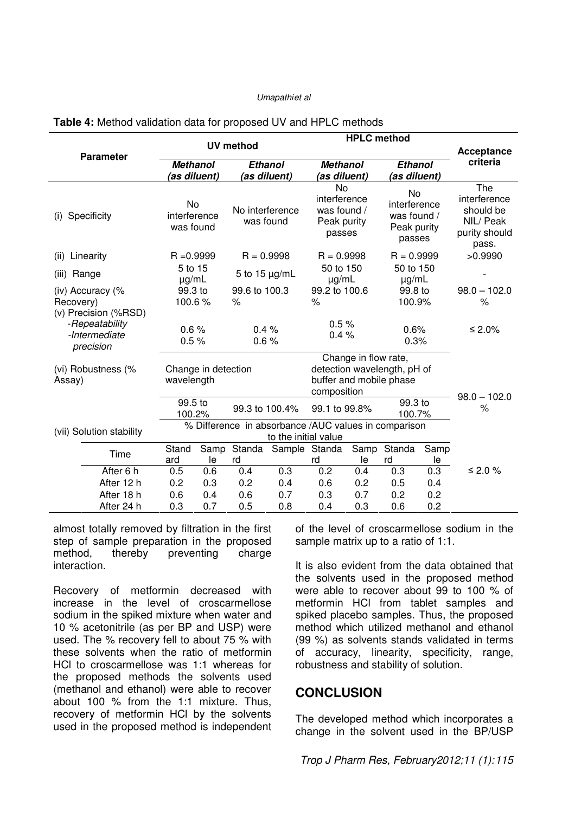|                                                                      |                          | <b>UV</b> method                            |                                                                                                                                        |                | <b>HPLC</b> method                                     |                                                      |                                                            |                                                                   |            |                                                                         |
|----------------------------------------------------------------------|--------------------------|---------------------------------------------|----------------------------------------------------------------------------------------------------------------------------------------|----------------|--------------------------------------------------------|------------------------------------------------------|------------------------------------------------------------|-------------------------------------------------------------------|------------|-------------------------------------------------------------------------|
|                                                                      | <b>Parameter</b>         |                                             |                                                                                                                                        |                |                                                        |                                                      |                                                            |                                                                   | Acceptance |                                                                         |
|                                                                      |                          |                                             | <b>Methanol</b><br><b>Ethanol</b><br><b>Methanol</b><br><b>Ethanol</b><br>(as diluent)<br>(as diluent)<br>(as diluent)<br>(as diluent) |                |                                                        | criteria                                             |                                                            |                                                                   |            |                                                                         |
| (i)                                                                  | Specificity              | <b>No</b><br>interference<br>was found      |                                                                                                                                        |                | No interference<br>was found                           |                                                      | No<br>interference<br>was found /<br>Peak purity<br>passes | <b>No</b><br>interference<br>was found /<br>Peak purity<br>passes |            | The<br>interference<br>should be<br>NIL/ Peak<br>purity should<br>pass. |
| (ii)                                                                 | Linearity                | $R = 0.9999$                                |                                                                                                                                        | $R = 0.9998$   |                                                        | $R = 0.9998$                                         |                                                            | $R = 0.9999$                                                      |            | >0.9990                                                                 |
| (iii)                                                                | Range                    | 5 to 15<br>5 to 15 $\mu$ g/mL<br>$\mu$ g/mL |                                                                                                                                        |                | 50 to 150<br>$\mu$ g/mL                                |                                                      | 50 to 150<br>$\mu$ g/mL                                    |                                                                   |            |                                                                         |
|                                                                      | (iv) Accuracy $\%$       |                                             | 99.3 to                                                                                                                                | 99.6 to 100.3  |                                                        | 99.2 to 100.6                                        | 99.8 to                                                    |                                                                   |            | $98.0 - 102.0$                                                          |
| Recovery)                                                            |                          | 100.6%                                      |                                                                                                                                        | $\%$           |                                                        | $\%$                                                 |                                                            | 100.9%                                                            |            | $\%$                                                                    |
| (v) Precision (%RSD)<br>-Repeatability<br>-Intermediate<br>precision |                          | 0.6%<br>0.5%                                |                                                                                                                                        | 0.4%<br>0.6%   |                                                        | 0.5%<br>0.4%                                         |                                                            | 0.6%<br>0.3%                                                      |            | ≤ 2.0%                                                                  |
|                                                                      |                          |                                             |                                                                                                                                        |                |                                                        |                                                      | Change in flow rate,                                       |                                                                   |            |                                                                         |
| (vi) Robustness (%<br>Assay)                                         |                          | Change in detection<br>wavelength           |                                                                                                                                        |                | detection wavelength, pH of<br>buffer and mobile phase |                                                      |                                                            |                                                                   |            |                                                                         |
|                                                                      |                          |                                             |                                                                                                                                        |                |                                                        | composition                                          |                                                            |                                                                   |            |                                                                         |
|                                                                      |                          | 99.5 to<br>100.2%                           |                                                                                                                                        | 99.3 to 100.4% |                                                        | 99.1 to 99.8%                                        |                                                            | 99.3 to<br>100.7%                                                 |            | $98.0 - 102.0$<br>$\%$                                                  |
|                                                                      | (vii) Solution stability |                                             |                                                                                                                                        |                |                                                        | % Difference in absorbance /AUC values in comparison |                                                            |                                                                   |            |                                                                         |
|                                                                      |                          | to the initial value                        |                                                                                                                                        |                |                                                        |                                                      |                                                            |                                                                   |            |                                                                         |
|                                                                      | Time                     | Stand<br>ard                                | Samp<br>le                                                                                                                             | Standa<br>rd   |                                                        | Sample Standa<br>rd                                  | Samp<br>le                                                 | Standa<br>rd                                                      | Samp<br>le |                                                                         |
|                                                                      | After 6 h                | 0.5                                         | 0.6                                                                                                                                    | 0.4            | 0.3                                                    | 0.2                                                  | 0.4                                                        | 0.3                                                               | 0.3        | ≤ 2.0 %                                                                 |
|                                                                      | After 12 h               | 0.2                                         | 0.3                                                                                                                                    | 0.2            | 0.4                                                    | 0.6                                                  | 0.2                                                        | 0.5                                                               | 0.4        |                                                                         |
|                                                                      | After 18 h               | 0.6                                         | 0.4                                                                                                                                    | 0.6            | 0.7                                                    | 0.3                                                  | 0.7                                                        | 0.2                                                               | 0.2        |                                                                         |
|                                                                      | After 24 h               | 0.3                                         | 0.7                                                                                                                                    | 0.5            | 0.8                                                    | 0.4                                                  | 0.3                                                        | 0.6                                                               | 0.2        |                                                                         |

#### **Table 4:** Method validation data for proposed UV and HPLC methods

almost totally removed by filtration in the first step of sample preparation in the proposed method, thereby preventing charge interaction.

Recovery of metformin decreased with increase in the level of croscarmellose sodium in the spiked mixture when water and 10 % acetonitrile (as per BP and USP) were used. The % recovery fell to about 75 % with these solvents when the ratio of metformin HCl to croscarmellose was 1:1 whereas for the proposed methods the solvents used (methanol and ethanol) were able to recover about 100 % from the 1:1 mixture. Thus, recovery of metformin HCl by the solvents used in the proposed method is independent of the level of croscarmellose sodium in the sample matrix up to a ratio of 1:1.

It is also evident from the data obtained that the solvents used in the proposed method were able to recover about 99 to 100 % of metformin HCl from tablet samples and spiked placebo samples. Thus, the proposed method which utilized methanol and ethanol (99 %) as solvents stands validated in terms of accuracy, linearity, specificity, range, robustness and stability of solution.

### **CONCLUSION**

The developed method which incorporates a change in the solvent used in the BP/USP